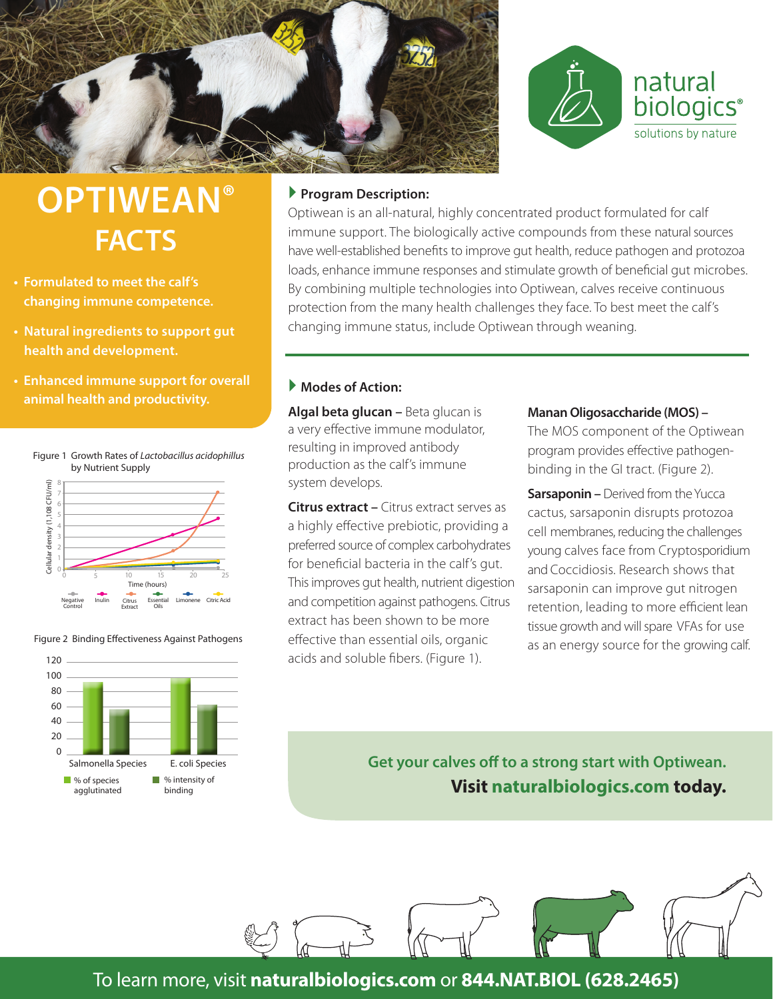



## **OPTIWEAN® FACTS**

- **Formulated to meet the calf's changing immune competence.**
- **Natural ingredients to support gut health and development.**
- **Enhanced immune support for overall animal health and productivity.**

Figure 1 Growth Rates of *Lactobacillus acidophillus*

by Nutrient Supply Cellular density (1,108 CFU/ml) CHINAR DENINAR DENINAS REALIST CORPORATION CONTROLLER DENINAS REALIST CORPORATION CONTROLLER DENINANT CONTROLLER DENINANT CORPORATION CONTROLLER DENINANT CONTROLLER DESCRIPTION CONTROLLER DESCRIPTION CONTROLLER DESCRIPTION 7 6 5 4 3 2 1 0 0 5 10 15 20 25  $(hours)$ Negative Control Inulin Citrus Essential sential Limonene Citric-Acid<br>Oils Extract

Figure 2 Binding Effectiveness Against Pathogens



#### **Program Description:**

Optiwean is an all-natural, highly concentrated product formulated for calf immune support. The biologically active compounds from these natural sources have well-established benefits to improve gut health, reduce pathogen and protozoa loads, enhance immune responses and stimulate growth of beneficial gut microbes. By combining multiple technologies into Optiwean, calves receive continuous protection from the many health challenges they face. To best meet the calf's changing immune status, include Optiwean through weaning.

### **Modes of Action:**

**Algal beta glucan –** Beta glucan is a very effective immune modulator, resulting in improved antibody production as the calf's immune system develops.

**Citrus extract –** Citrus extract serves as a highly effective prebiotic, providing a preferred source of complex carbohydrates for beneficial bacteria in the calf's gut. This improves gut health, nutrient digestion and competition against pathogens. Citrus extract has been shown to be more effective than essential oils, organic acids and soluble fibers. (Figure 1).

#### **Manan Oligosaccharide (MOS) –**

The MOS component of the Optiwean program provides effective pathogenbinding in the GI tract. (Figure 2).

**Sarsaponin –** Derived from the Yucca cactus, sarsaponin disrupts protozoa cell membranes, reducing the challenges young calves face from Cryptosporidium and Coccidiosis. Research shows that sarsaponin can improve gut nitrogen retention, leading to more efficient lean tissue growth and will spare VFAs for use as an energy source for the growing calf.

**Get your calves off to a strong start with Optiwean. Visit naturalbiologics.com today.**